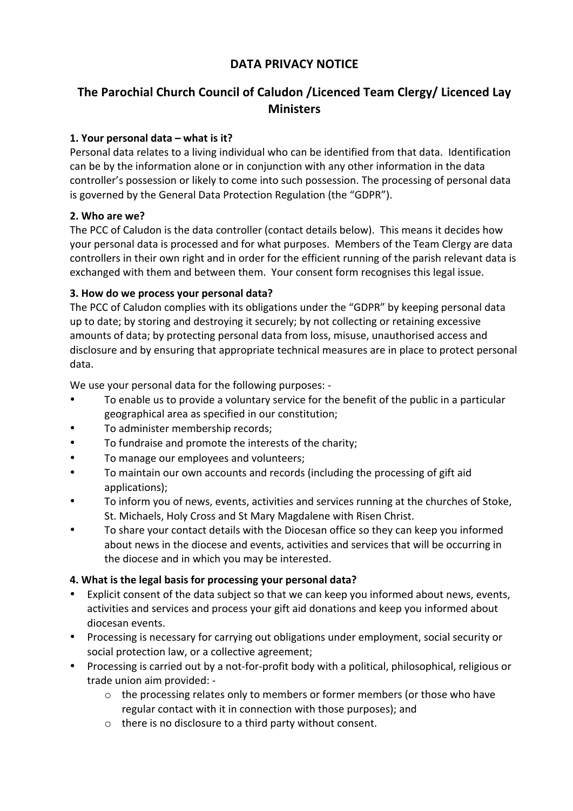## **DATA PRIVACY NOTICE**

# The Parochial Church Council of Caludon /Licenced Team Clergy/ Licenced Lay **Ministers**

#### 1. Your personal data – what is it?

Personal data relates to a living individual who can be identified from that data. Identification can be by the information alone or in conjunction with any other information in the data controller's possession or likely to come into such possession. The processing of personal data is governed by the General Data Protection Regulation (the "GDPR").

#### **2. Who are we?**

The PCC of Caludon is the data controller (contact details below). This means it decides how your personal data is processed and for what purposes. Members of the Team Clergy are data controllers in their own right and in order for the efficient running of the parish relevant data is exchanged with them and between them. Your consent form recognises this legal issue.

#### **3. How do we process your personal data?**

The PCC of Caludon complies with its obligations under the "GDPR" by keeping personal data up to date; by storing and destroying it securely; by not collecting or retaining excessive amounts of data; by protecting personal data from loss, misuse, unauthorised access and disclosure and by ensuring that appropriate technical measures are in place to protect personal data.

We use your personal data for the following purposes: -

- To enable us to provide a voluntary service for the benefit of the public in a particular geographical area as specified in our constitution;
- To administer membership records;
- To fundraise and promote the interests of the charity;
- To manage our employees and volunteers;
- To maintain our own accounts and records (including the processing of gift aid applications);
- To inform you of news, events, activities and services running at the churches of Stoke, St. Michaels, Holy Cross and St Mary Magdalene with Risen Christ.
- To share your contact details with the Diocesan office so they can keep you informed about news in the diocese and events, activities and services that will be occurring in the diocese and in which you may be interested.

### **4.** What is the legal basis for processing your personal data?

- Explicit consent of the data subject so that we can keep you informed about news, events, activities and services and process your gift aid donations and keep you informed about diocesan events.
- Processing is necessary for carrying out obligations under employment, social security or social protection law, or a collective agreement;
- Processing is carried out by a not-for-profit body with a political, philosophical, religious or trade union aim provided: -
	- $\circ$  the processing relates only to members or former members (or those who have regular contact with it in connection with those purposes); and
	- $\circ$  there is no disclosure to a third party without consent.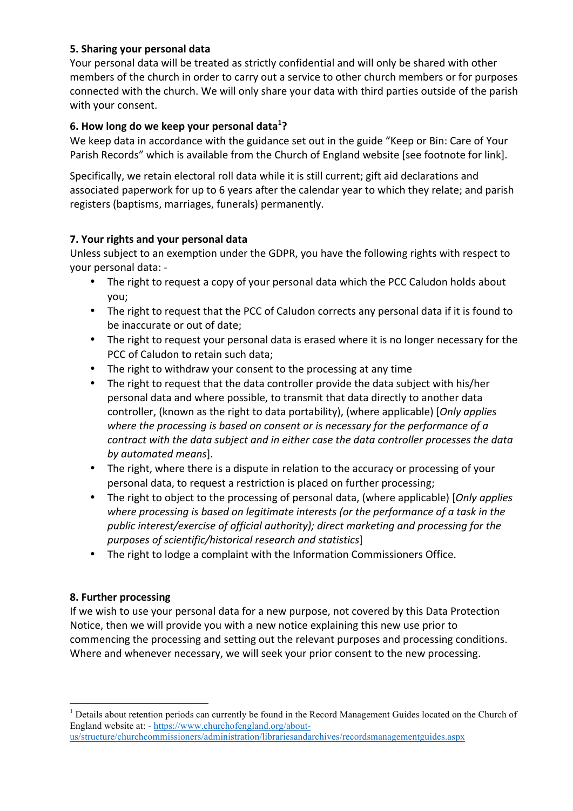#### **5. Sharing your personal data**

Your personal data will be treated as strictly confidential and will only be shared with other members of the church in order to carry out a service to other church members or for purposes connected with the church. We will only share your data with third parties outside of the parish with your consent.

#### **6.** How long do we keep your personal data<sup>1</sup>?

We keep data in accordance with the guidance set out in the guide "Keep or Bin: Care of Your Parish Records" which is available from the Church of England website [see footnote for link].

Specifically, we retain electoral roll data while it is still current; gift aid declarations and associated paperwork for up to 6 years after the calendar year to which they relate; and parish registers (baptisms, marriages, funerals) permanently.

#### **7.** Your rights and your personal data

Unless subject to an exemption under the GDPR, you have the following rights with respect to your personal data: -

- The right to request a copy of your personal data which the PCC Caludon holds about you;
- The right to request that the PCC of Caludon corrects any personal data if it is found to be inaccurate or out of date;
- The right to request your personal data is erased where it is no longer necessary for the PCC of Caludon to retain such data;
- The right to withdraw your consent to the processing at any time
- The right to request that the data controller provide the data subject with his/her personal data and where possible, to transmit that data directly to another data controller, (known as the right to data portability), (where applicable) [*Only applies* where the processing is based on consent or is necessary for the performance of a *contract with the data subject and in either case the data controller processes the data by automated means*].
- The right, where there is a dispute in relation to the accuracy or processing of your personal data, to request a restriction is placed on further processing;
- The right to object to the processing of personal data, (where applicable) [*Only applies* where processing is based on legitimate interests (or the performance of a task in the *public interest/exercise of official authority); direct marketing and processing for the purposes of scientific/historical research and statistics*]
- The right to lodge a complaint with the Information Commissioners Office.

#### **8. Further processing**

If we wish to use your personal data for a new purpose, not covered by this Data Protection Notice, then we will provide you with a new notice explaining this new use prior to commencing the processing and setting out the relevant purposes and processing conditions. Where and whenever necessary, we will seek your prior consent to the new processing.

 $<sup>1</sup>$  Details about retention periods can currently be found in the Record Management Guides located on the Church of</sup> England website at: - https://www.churchofengland.org/aboutus/structure/churchcommissioners/administration/librariesandarchives/recordsmanagementguides.aspx